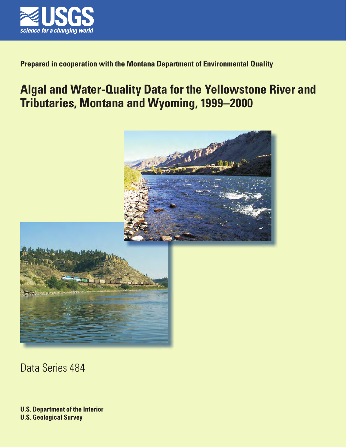

## **Prepared in cooperation with the Montana Department of Environmental Quality**

# **Algal and Water-Quality Data for the Yellowstone River and Tributaries, Montana and Wyoming, 1999–2000**





Data Series 484

**U.S. Department of the Interior U.S. Geological Survey**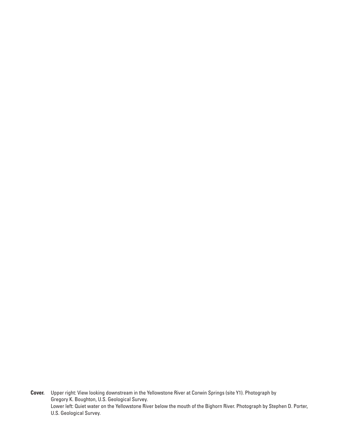**Cover.** Upper right: View looking downstream in the Yellowstone River at Corwin Springs (site Y1). Photograph by Gregory K. Boughton, U.S. Geological Survey. Lower left: Quiet water on the Yellowstone River below the mouth of the Bighorn River. Photograph by Stephen D. Porter, U.S. Geological Survey.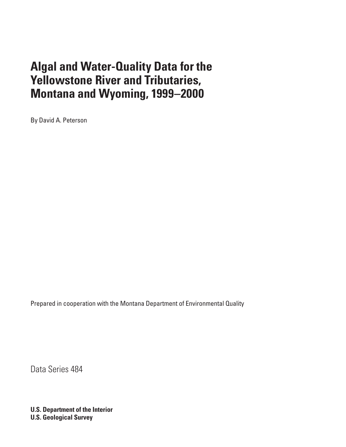By David A. Peterson

Prepared in cooperation with the Montana Department of Environmental Quality

Data Series 484

**U.S. Department of the Interior U.S. Geological Survey**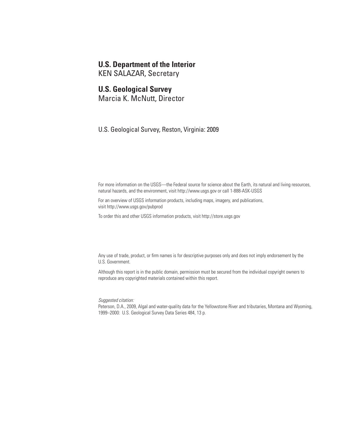### **U.S. Department of the Interior**

KEN SALAZAR, Secretary

### **U.S. Geological Survey**

Marcia K. McNutt, Director

U.S. Geological Survey, Reston, Virginia: 2009

For more information on the USGS—the Federal source for science about the Earth, its natural and living resources, natural hazards, and the environment, visit<http://www.usgs.gov> or call 1-888-ASK-USGS

For an overview of USGS information products, including maps, imagery, and publications, visit<http://www.usgs.gov/pubprod>

To order this and other USGS information products, visit<http://store.usgs.gov>

Any use of trade, product, or firm names is for descriptive purposes only and does not imply endorsement by the U.S. Government.

Although this report is in the public domain, permission must be secured from the individual copyright owners to reproduce any copyrighted materials contained within this report.

*Suggested citation:*

Peterson, D.A., 2009, Algal and water-quality data for the Yellowstone River and tributaries, Montana and Wyoming, 1999–2000: U.S. Geological Survey Data Series 484, 13 p.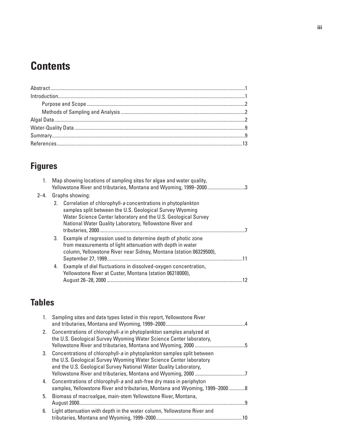# **Contents**

# **Figures**

| 1.   |    | Map showing locations of sampling sites for algae and water quality,<br>Yellowstone River and tributaries, Montana and Wyoming, 1999-20003                                                                                                             |  |
|------|----|--------------------------------------------------------------------------------------------------------------------------------------------------------------------------------------------------------------------------------------------------------|--|
| 2–4. |    | Graphs showing:                                                                                                                                                                                                                                        |  |
|      | 2. | Correlation of chlorophyll-a concentrations in phytoplankton<br>samples split between the U.S. Geological Survey Wyoming<br>Water Science Center laboratory and the U.S. Geological Survey<br>National Water Quality Laboratory, Yellowstone River and |  |
|      | 3. | Example of regression used to determine depth of photic zone<br>from measurements of light attenuation with depth in water<br>column, Yellowstone River near Sidney, Montana (station 06329500),                                                       |  |
|      | 4. | Example of diel fluctuations in dissolved-oxygen concentration,<br>Yellowstone River at Custer, Montana (station 06218000),                                                                                                                            |  |

## **Tables**

| 1. | Sampling sites and data types listed in this report, Yellowstone River                                                                                                                                            |
|----|-------------------------------------------------------------------------------------------------------------------------------------------------------------------------------------------------------------------|
|    | 2. Concentrations of chlorophyll-a in phytoplankton samples analyzed at<br>the U.S. Geological Survey Wyoming Water Science Center laboratory,                                                                    |
| 3. | Concentrations of chlorophyll-a in phytoplankton samples split between<br>the U.S. Geological Survey Wyoming Water Science Center laboratory<br>and the U.S. Geological Survey National Water Quality Laboratory, |
| 4. | Concentrations of chlorophyll-a and ash-free dry mass in periphyton<br>samples, Yellowstone River and tributaries, Montana and Wyoming, 1999-2000 8                                                               |
| 5. | Biomass of macroalgae, main-stem Yellowstone River, Montana,<br>q                                                                                                                                                 |
| 6. | Light attenuation with depth in the water column, Yellowstone River and                                                                                                                                           |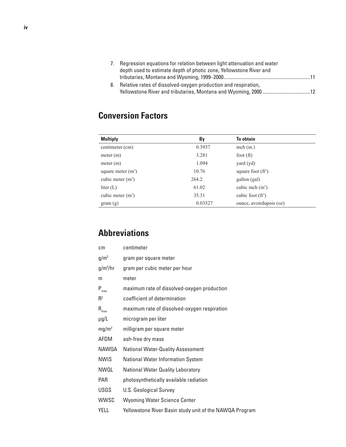| 7. Regression equations for relation between light attenuation and water |  |
|--------------------------------------------------------------------------|--|
| depth used to estimate depth of photic zone, Yellowstone River and       |  |
|                                                                          |  |
| 8. Relative rates of dissolved-oxygen production and respiration,        |  |
|                                                                          |  |

## **Conversion Factors**

| <b>Multiply</b>      | By      | <b>To obtain</b>        |  |
|----------------------|---------|-------------------------|--|
| centimeter (cm)      | 0.3937  | inch (in.)              |  |
| meter (m)            | 3.281   | foot $(ft)$             |  |
| meter (m)            | 1.094   | yard (yd)               |  |
| square meter $(m^2)$ | 10.76   | square foot $(ft^2)$    |  |
| cubic meter $(m^3)$  | 264.2   | gallon (gal)            |  |
| liter $(L)$          | 61.02   | cubic inch $(in^3)$     |  |
| cubic meter $(m^3)$  | 35.31   | cubic foot $(ft^3)$     |  |
| gram(g)              | 0.03527 | ounce, avoirdupois (oz) |  |

## **Abbreviations**

| cm                  | centimeter                                              |
|---------------------|---------------------------------------------------------|
| g/m <sup>2</sup>    | gram per square meter                                   |
| $g/m^3/hr$          | gram per cubic meter per hour                           |
| m                   | meter                                                   |
| $P_{max}$           | maximum rate of dissolved-oxygen production             |
| $R^2$               | coefficient of determination                            |
| $\mathsf{R}_{\max}$ | maximum rate of dissolved-oxygen respiration            |
| $\mu$ g/L           | microgram per liter                                     |
| mg/m <sup>2</sup>   | milligram per square meter                              |
| AFDM                | ash-free dry mass                                       |
| NAWQA               | <b>National Water-Quality Assessment</b>                |
| <b>NWIS</b>         | <b>National Water Information System</b>                |
| NWQL                | <b>National Water Quality Laboratory</b>                |
| <b>PAR</b>          | photosynthetically available radiation                  |
| <b>USGS</b>         | <b>U.S. Geological Survey</b>                           |
| <b>WWSC</b>         | <b>Wyoming Water Science Center</b>                     |
| YELL                | Yellowstone River Basin study unit of the NAWQA Program |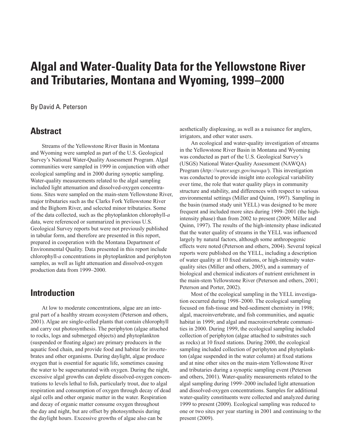<span id="page-6-0"></span>By David A. Peterson

## **Abstract**

Streams of the Yellowstone River Basin in Montana and Wyoming were sampled as part of the U.S. Geological Survey's National Water-Quality Assessment Program. Algal communities were sampled in 1999 in conjunction with other ecological sampling and in 2000 during synoptic sampling. Water-quality measurements related to the algal sampling included light attenuation and dissolved-oxygen concentrations. Sites were sampled on the main-stem Yellowstone River, major tributaries such as the Clarks Fork Yellowstone River and the Bighorn River, and selected minor tributaries. Some of the data collected, such as the phytoplankton chlorophyll*-a* data, were referenced or summarized in previous U.S. Geological Survey reports but were not previously published in tabular form, and therefore are presented in this report, prepared in cooperation with the Montana Department of Environmental Quality. Data presented in this report include chlorophyll*-a* concentrations in phytoplankton and periphyton samples, as well as light attenuation and dissolved-oxygen production data from 1999–2000.

## **Introduction**

At low to moderate concentrations, algae are an integral part of a healthy stream ecosystem (Peterson and others, 2001). Algae are single-celled plants that contain chlorophyll and carry out photosynthesis. The periphyton (algae attached to rocks, logs and submerged objects) and phytoplankton (suspended or floating algae) are primary producers in the aquatic food chain, and provide food and habitat for invertebrates and other organisms. During daylight, algae produce oxygen that is essential for aquatic life, sometimes causing the water to be supersaturated with oxygen. During the night, excessive algal growths can deplete dissolved-oxygen concentrations to levels lethal to fish, particularly trout, due to algal respiration and consumption of oxygen through decay of dead algal cells and other organic matter in the water. Respiration and decay of organic matter consume oxygen throughout the day and night, but are offset by photosynthesis during the daylight hours. Excessive growths of algae also can be

aesthetically displeasing, as well as a nuisance for anglers, irrigators, and other water users.

An ecological and water-quality investigation of streams in the Yellowstone River Basin in Montana and Wyoming was conducted as part of the U.S. Geological Survey's (USGS) National Water-Quality Assessment (NAWQA) Program (*<http://water.usgs.gov/nawqa/>*). This investigation was conducted to provide insight into ecological variability over time, the role that water quality plays in community structure and stability, and differences with respect to various environmental settings (Miller and Quinn, 1997). Sampling in the basin (named study unit YELL) was designed to be more frequent and included more sites during 1999–2001 (the highintensity phase) than from 2002 to present (2009; Miller and Quinn, 1997). The results of the high-intensity phase indicated that the water quality of streams in the YELL was influenced largely by natural factors, although some anthropogenic effects were noted (Peterson and others, 2004). Several topical reports were published on the YELL, including a description of water quality at 10 fixed stations, or high-intensity waterquality sites (Miller and others, 2005), and a summary of biological and chemical indicators of nutrient enrichment in the main-stem Yellowstone River (Peterson and others, 2001; Peterson and Porter, 2002).

Most of the ecological sampling in the YELL investigation occurred during 1998–2000. The ecological sampling focused on fish-tissue and bed-sediment chemistry in 1998; algal, macroinvertebrate, and fish communities, and aquatic habitat in 1999; and algal and macroinvertebrate communities in 2000. During 1999, the ecological sampling included collection of periphyton (algae attached to substrates such as rocks) at 10 fixed stations. During 2000, the ecological sampling included collection of periphyton and phytoplankton (algae suspended in the water column) at fixed stations and at nine other sites on the main-stem Yellowstone River and tributaries during a synoptic sampling event (Peterson and others, 2001). Water-quality measurements related to the algal sampling during 1999–2000 included light attenuation and dissolved-oxygen concentrations. Samples for additional water-quality constituents were collected and analyzed during 1999 to present (2009). Ecological sampling was reduced to one or two sites per year starting in 2001 and continuing to the present (2009).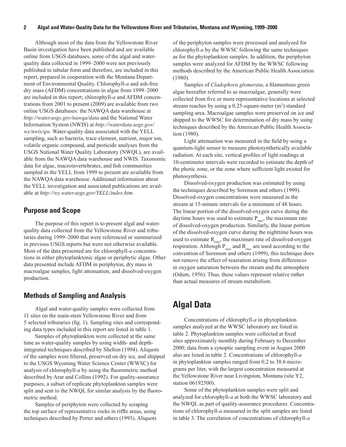<span id="page-7-0"></span>Although most of the data from the Yellowstone River Basin investigation have been published and are available online from USGS databases, some of the algal and waterquality data collected in 1999–2000 were not previously published in tabular form and therefore, are included in this report, prepared in cooperation with the Montana Department of Environmental Quality. Chlorophyll*-a* and ash-free dry mass (AFDM) concentrations in algae from 1999–2000 are included in this report; chlorophyll*-a* and AFDM concentrations from 2001 to present (2009) are available from two online USGS databases: the NAWQA data warehouse at *<http://water.usgs.gov/nawqa/data>* and the National Water Information System (NWIS) at *http://waterdata.usgs.gov/ wy/nwis/qw.* Water-quality data associated with the YELL sampling, such as bacteria, trace element, nutrient, major ion, volatile organic compound, and pesticide analyses from the USGS National Water Quality Laboratory (NWQL), are available from the NAWQA data warehouse and NWIS. Taxonomic data for algae, macroinvertebrates, and fish communities sampled in the YELL from 1999 to present are available from the NAWQA data warehouse. Additional information about the YELL investigation and associated publications are available at *[http://wy.water.usgs.gov/YELL/index.htm.](http://wy.water.usgs.gov/YELL/index.htm)*

#### **Purpose and Scope**

The purpose of this report is to present algal and waterquality data collected from the Yellowstone River and tributaries during 1999–2000 that were referenced or summarized in previous USGS reports but were not otherwise available. Most of the data presented are for chlorophyll*-a* concentrations in either phytoplanktonic algae or periphytic algae. Other data presented include AFDM in periphyton, dry mass in macroalgae samples, light attenuation, and dissolved-oxygen production.

#### **Methods of Sampling and Analysis**

Algal and water-quality samples were collected from 11 sites on the main-stem Yellowstone River and from 5 selected tributaries (fig. 1). Sampling sites and corresponding data types included in this report are listed in table 1.

Samples of phytoplankton were collected at the same time as water-quality samples by using width- and depthintegrated techniques described by Shelton (1994). Aliquots of the samples were filtered, preserved on dry ice, and shipped to the USGS Wyoming Water Science Center (WWSC) for analysis of chlorophyll*-a* by using the fluorometric method described by Arar and Collins (1992). For quality-assurance purposes, a subset of replicate phytoplankton samples were split and sent to the NWQL for similar analysis by the fluorometric method.

Samples of periphyton were collected by scraping the top surface of representative rocks in riffle areas, using techniques described by Porter and others (1993). Aliquots of the periphyton samples were processed and analyzed for chlorophyll*-a* by the WWSC following the same techniques as for the phytoplankton samples. In addition, the periphyton samples were analyzed for AFDM by the WWSC following methods described by the American Public Health Association (1980).

Samples of *Cladophora glomerata*, a filamentous green algae hereafter referred to as macroalgae, generally were collected from five or more representative locations at selected stream reaches by using a  $0.25$ -square-meter  $(m<sup>2</sup>)$  standard sampling area. Macroalgae samples were preserved on ice and shipped to the WWSC for determination of dry mass by using techniques described by the American Public Health Association (1980).

Light attenuation was measured in the field by using a quantum-light sensor to measure photosynthetically available radiation. At each site, vertical profiles of light readings at 10-centimeter intervals were recorded to estimate the depth of the photic zone, or the zone where sufficient light existed for photosynthesis.

Dissolved-oxygen production was estimated by using the techniques described by Sorenson and others (1999). Dissolved-oxygen concentrations were measured in the stream at 15-minute intervals for a minimum of 48 hours. The linear portion of the dissolved-oxygen curve during the daytime hours was used to estimate  $P_{max}$ , the maximum rate of dissolved-oxygen production. Similarly, the linear portion of the dissolved-oxygen curve during the nighttime hours was used to estimate  $R_{\text{max}}$ , the maximum rate of dissolved-oxygen respiration. Although  $P_{max}$  and  $R_{max}$  are used according to the convention of Sorenson and others (1999), this technique does not remove the effect of reaeration arising from differences in oxygen saturation between the stream and the atmosphere (Odum, 1956). Thus, these values represent relative rather than actual measures of stream metabolism.

## **Algal Data**

Concentrations of chlorophyll*-a* in phytoplankton samples analyzed at the WWSC laboratory are listed in table 2. Phytoplankton samples were collected at fixed sites approximately monthly during February to December 2000; data from a synoptic sampling event in August 2000 also are listed in table 2. Concentrations of chlorophyll*-a* in phytoplankton samples ranged from 0.2 to 38.6 micrograms per liter, with the largest concentration measured at the Yellowstone River near Livingston, Montana (site Y2, station 06192500).

Some of the phytoplankton samples were split and analyzed for chlorophyll*-a* at both the WWSC laboratory and the NWQL as part of quality-assurance procedures. Concentrations of chlorophyll*-a* measured in the split samples are listed in table 3. The correlation of concentrations of chlorophyll*-a*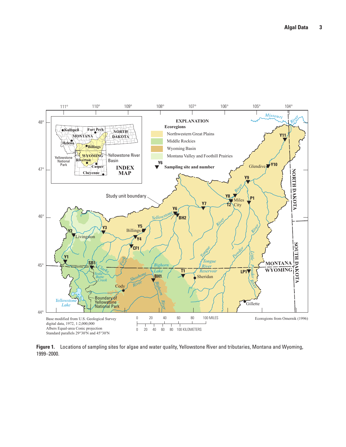<span id="page-8-0"></span>

**Figure 1.** Locations of sampling sites for algae and water quality, Yellowstone River and tributaries, Montana and Wyoming, 1999–2000.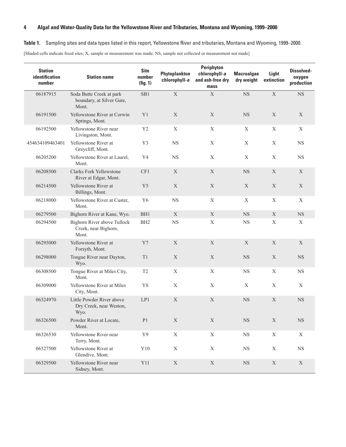#### <span id="page-9-0"></span>**Table 1.** Sampling sites and data types listed in this report, Yellowstone River and tributaries, Montana and Wyoming, 1999–2000.

[Shaded cells indicate fixed sites; X, sample or measurement was made; NS, sample not collected or measurement not made]

| <b>Station</b><br>identification<br>number | <b>Station name</b>                                            | <b>Site</b><br>number<br>(fig. 1) | Phytoplankton<br>chlorophyll-a | Periphyton<br>chlorophyll-a<br>and ash-free dry<br>mass | <b>Macroalgae</b><br>dry weight | Light<br>extinction | <b>Dissolved-</b><br>oxygen<br>production |
|--------------------------------------------|----------------------------------------------------------------|-----------------------------------|--------------------------------|---------------------------------------------------------|---------------------------------|---------------------|-------------------------------------------|
| 06187915                                   | Soda Butte Creek at park<br>boundary, at Silver Gate,<br>Mont. | SB1                               | $\mathbf X$                    | $\mathbf X$                                             | $_{\rm NS}$                     | $\mathbf X$         | <b>NS</b>                                 |
| 06191500                                   | Yellowstone River at Corwin<br>Springs, Mont.                  | Y1                                | $\mathbf X$                    | $\mathbf X$                                             | $_{\rm NS}$                     | $\mathbf X$         | X                                         |
| 06192500                                   | Yellowstone River near<br>Livingston, Mont.                    | Y2                                | $\mathbf X$                    | $\mathbf X$                                             | $\mathbf X$                     | $\mathbf X$         | $\boldsymbol{X}$                          |
| 454634109463401                            | Yellowstone River at<br>Greycliff, Mont.                       | Y <sub>3</sub>                    | <b>NS</b>                      | X                                                       | X                               | X                   | NS                                        |
| 06205200                                   | Yellowstone River at Laurel,<br>Mont.                          | Y4                                | <b>NS</b>                      | X                                                       | X                               | $\mathbf X$         | <b>NS</b>                                 |
| 06208500                                   | <b>Clarks Fork Yellowstone</b><br>River at Edgar, Mont.        | CF1                               | $\mathbf X$                    | $\mathbf X$                                             | $_{\rm NS}$                     | $\mathbf X$         | X                                         |
| 06214500                                   | Yellowstone River at<br>Billings, Mont.                        | Y5                                | $\mathbf X$                    | $\mathbf X$                                             | $\mathbf X$                     | $\mathbf X$         | $\mathbf X$                               |
| 06218000                                   | Yellowstone River at Custer,<br>Mont.                          | Y <sub>6</sub>                    | NS                             | X                                                       | $\mathbf X$                     | $\mathbf X$         | $\mathbf X$                               |
| 06279500                                   | Bighorn River at Kane, Wyo.                                    | BH1                               | $\mathbf X$                    | $\mathbf X$                                             | $_{\rm NS}$                     | $\mathbf X$         | <b>NS</b>                                 |
| 06294500                                   | Bighorn River above Tullock<br>Creek, near Bighorn,<br>Mont.   | BH <sub>2</sub>                   | NS                             | X                                                       | $_{\rm NS}$                     | $\boldsymbol{X}$    | $\mathbf X$                               |
| 06295000                                   | Yellowstone River at<br>Forsyth, Mont.                         | Y7                                | X                              | $\mathbf X$                                             | X                               | $\mathbf X$         | $\mathbf X$                               |
| 06298000                                   | Tongue River near Dayton,<br>Wyo.                              | T1                                | $\mathbf X$                    | $\mathbf X$                                             | $_{\rm NS}$                     | $\mathbf X$         | $_{\rm NS}$                               |
| 06308500                                   | Tongue River at Miles City,<br>Mont.                           | T <sub>2</sub>                    | $\mathbf X$                    | $\mathbf X$                                             | $_{\rm NS}$                     | $\mathbf X$         | $_{\rm NS}$                               |
| 06309000                                   | Yellowstone River at Miles<br>City, Mont.                      | Y8                                | X                              | X                                                       | X                               | X                   | X                                         |
| 06324970                                   | Little Powder River above<br>Dry Creek, near Weston,<br>Wyo.   | LP1                               | $\mathbf X$                    | $\mathbf X$                                             | $_{\rm NS}$                     | X                   | <b>NS</b>                                 |
| 06326500                                   | Powder River at Locate,<br>Mont.                               | P <sub>1</sub>                    | $\mathbf X$                    | $\mathbf X$                                             | $_{\rm NS}$                     | $\mathbf X$         | $_{\rm NS}$                               |
| 06326530                                   | Yellowstone River near<br>Terry, Mont.                         | Y9                                | $\mathbf X$                    | $\mathbf X$                                             | $_{\rm NS}$                     | $\mathbf X$         | $\mathbf X$                               |
| 06327500                                   | Yellowstone River at<br>Glendive, Mont.                        | ${\rm Y10}$                       | $\mathbf X$                    | $\mathbf X$                                             | <b>NS</b>                       | $\mathbf X$         | $_{\rm NS}$                               |
| 06329500                                   | Yellowstone River near<br>Sidney, Mont.                        | Y11                               | $\mathbf X$                    | $\mathbf X$                                             | $_{\rm NS}$                     | $\mathbf X$         | $\mathbf X$                               |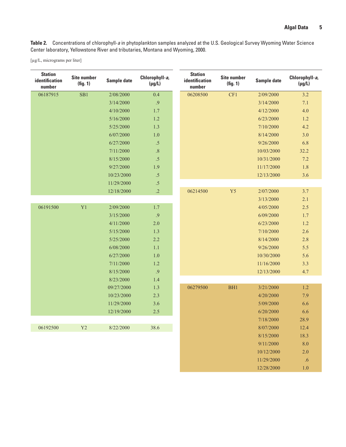12/28/2000 1.0

<span id="page-10-0"></span>**Table 2.** Concentrations of chlorophyll-*a* in phytoplankton samples analyzed at the U.S. Geological Survey Wyoming Water Science Center laboratory, Yellowstone River and tributaries, Montana and Wyoming, 2000.

[µg/L, micrograms per liter]

| <b>Station</b><br>identification<br>number | <b>Site number</b><br>(fig. 1) | Sample date | Chlorophyll-a,<br>$(\mu g/L)$ | <b>Station</b><br><b>identification</b><br>number | <b>Site number</b><br>(fig. 1) | Sample date | Chlorophyll-a,<br>$(\mu g/L)$ |
|--------------------------------------------|--------------------------------|-------------|-------------------------------|---------------------------------------------------|--------------------------------|-------------|-------------------------------|
| 06187915                                   | SB1                            | 2/08/2000   | 0.4                           | 06208500                                          | CF1                            | 2/09/2000   | 3.2                           |
|                                            |                                | 3/14/2000   | .9                            |                                                   |                                | 3/14/2000   | 7.1                           |
|                                            |                                | 4/10/2000   | 1.7                           |                                                   |                                | 4/12/2000   | 4.0                           |
|                                            |                                | 5/16/2000   | $1.2$                         |                                                   |                                | 6/23/2000   | 1.2                           |
|                                            |                                | 5/25/2000   | 1.3                           |                                                   |                                | 7/10/2000   | 4.2                           |
|                                            |                                | 6/07/2000   | $1.0\,$                       |                                                   |                                | 8/14/2000   | 3.0                           |
|                                            |                                | 6/27/2000   | $.5\,$                        |                                                   |                                | 9/26/2000   | 6.8                           |
|                                            |                                | 7/11/2000   | $.8\,$                        |                                                   |                                | 10/03/2000  | 32.2                          |
|                                            |                                | 8/15/2000   | .5                            |                                                   |                                | 10/31/2000  | 7.2                           |
|                                            |                                | 9/27/2000   | 1.9                           |                                                   |                                | 11/17/2000  | 1.8                           |
|                                            |                                | 10/23/2000  | $.5\,$                        |                                                   |                                | 12/13/2000  | 3.6                           |
|                                            |                                | 11/29/2000  | $.5\,$                        |                                                   |                                |             |                               |
|                                            |                                | 12/18/2000  | $\cdot$                       | 06214500                                          | Y <sub>5</sub>                 | 2/07/2000   | 3.7                           |
|                                            |                                |             |                               |                                                   |                                | 3/13/2000   | $2.1\,$                       |
| 06191500                                   | Y <sub>1</sub>                 | 2/09/2000   | 1.7                           |                                                   |                                | 4/05/2000   | 2.5                           |
|                                            |                                | 3/15/2000   | .9                            |                                                   |                                | 6/09/2000   | 1.7                           |
|                                            |                                | 4/11/2000   | 2.0                           |                                                   |                                | 6/23/2000   | $1.2$                         |
|                                            |                                | 5/15/2000   | 1.3                           |                                                   |                                | 7/10/2000   | 2.6                           |
|                                            |                                | 5/25/2000   | 2.2                           |                                                   |                                | 8/14/2000   | 2.8                           |
|                                            |                                | 6/08/2000   | 1.1                           |                                                   |                                | 9/26/2000   | 5.5                           |
|                                            |                                | 6/27/2000   | 1.0                           |                                                   |                                | 10/30/2000  | 5.6                           |
|                                            |                                | 7/11/2000   | $1.2\,$                       |                                                   |                                | 11/16/2000  | 3.3                           |
|                                            |                                | 8/15/2000   | .9                            |                                                   |                                | 12/13/2000  | 4.7                           |
|                                            |                                | 8/23/2000   | 1.4                           |                                                   |                                |             |                               |
|                                            |                                | 09/27/2000  | 1.3                           | 06279500                                          | BH <sub>1</sub>                | 3/21/2000   | $1.2\,$                       |
|                                            |                                | 10/23/2000  | 2.3                           |                                                   |                                | 4/20/2000   | 7.9                           |
|                                            |                                | 11/29/2000  | 3.6                           |                                                   |                                | 5/09/2000   | 6.6                           |
|                                            |                                | 12/19/2000  | 2.5                           |                                                   |                                | 6/20/2000   | 6.6                           |
|                                            |                                |             |                               |                                                   |                                | 7/18/2000   | 28.9                          |
| 06192500                                   | Y2                             | 8/22/2000   | 38.6                          |                                                   |                                | 8/07/2000   | 12.4                          |
|                                            |                                |             |                               |                                                   |                                | 8/15/2000   | 18.3                          |
|                                            |                                |             |                               |                                                   |                                | 9/11/2000   | 8.0                           |
|                                            |                                |             |                               |                                                   |                                | 10/12/2000  | 2.0                           |
|                                            |                                |             |                               |                                                   |                                | 11/29/2000  | .6                            |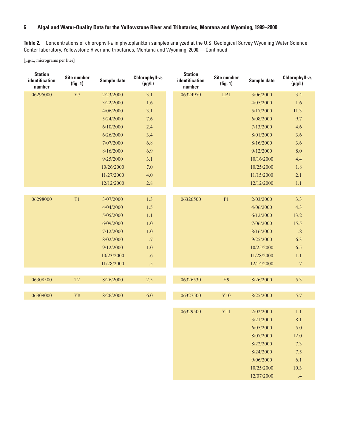**Table 2.** Concentrations of chlorophyll-*a* in phytoplankton samples analyzed at the U.S. Geological Survey Wyoming Water Science Center laboratory, Yellowstone River and tributaries, Montana and Wyoming, 2000.—Continued

[µg/L, micrograms per liter]

| <b>Station</b><br>identification<br>number | <b>Site number</b><br>(fig. 1) | Sample date | Chlorophyll-a,<br>$(\mu g/L)$ | <b>Station</b><br>identification<br>number | <b>Site number</b><br>(fig. 1) | Sample date | Chlorophyll-a,<br>$(\mu g/L)$ |
|--------------------------------------------|--------------------------------|-------------|-------------------------------|--------------------------------------------|--------------------------------|-------------|-------------------------------|
| 06295000                                   | Y7                             | 2/23/2000   | 3.1                           | 06324970                                   | LP1                            | 3/06/2000   | 3.4                           |
|                                            |                                | 3/22/2000   | 1.6                           |                                            |                                | 4/05/2000   | 1.6                           |
|                                            |                                | 4/06/2000   | 3.1                           |                                            |                                | 5/17/2000   | 11.3                          |
|                                            |                                | 5/24/2000   | 7.6                           |                                            |                                | 6/08/2000   | 9.7                           |
|                                            |                                | 6/10/2000   | 2.4                           |                                            |                                | 7/13/2000   | 4.6                           |
|                                            |                                | 6/26/2000   | 3.4                           |                                            |                                | 8/01/2000   | 3.6                           |
|                                            |                                | 7/07/2000   | 6.8                           |                                            |                                | 8/16/2000   | 3.6                           |
|                                            |                                | 8/16/2000   | 6.9                           |                                            |                                | 9/12/2000   | 8.0                           |
|                                            |                                | 9/25/2000   | 3.1                           |                                            |                                | 10/16/2000  | 4.4                           |
|                                            |                                | 10/26/2000  | $7.0\,$                       |                                            |                                | 10/25/2000  | 1.8                           |
|                                            |                                | 11/27/2000  | 4.0                           |                                            |                                | 11/15/2000  | 2.1                           |
|                                            |                                | 12/12/2000  | 2.8                           |                                            |                                | 12/12/2000  | 1.1                           |
|                                            |                                |             |                               |                                            |                                |             |                               |
| 06298000                                   | T1                             | 3/07/2000   | 1.3                           | 06326500                                   | P <sub>1</sub>                 | 2/03/2000   | 3.3                           |
|                                            |                                | 4/04/2000   | $1.5$                         |                                            |                                | 4/06/2000   | 4.3                           |
|                                            |                                | 5/05/2000   | 1.1                           |                                            |                                | 6/12/2000   | 13.2                          |
|                                            |                                | 6/09/2000   | $1.0\,$                       |                                            |                                | 7/06/2000   | 15.5                          |
|                                            |                                | 7/12/2000   | $1.0\,$                       |                                            |                                | 8/16/2000   | $.8\,$                        |
|                                            |                                | 8/02/2000   | $.7$                          |                                            |                                | 9/25/2000   | 6.3                           |
|                                            |                                | 9/12/2000   | $1.0\,$                       |                                            |                                | 10/25/2000  | 6.5                           |
|                                            |                                | 10/23/2000  | .6                            |                                            |                                | 11/28/2000  | 1.1                           |
|                                            |                                | 11/28/2000  | $.5\,$                        |                                            |                                | 12/14/2000  | $.7\,$                        |
|                                            |                                |             |                               |                                            |                                |             |                               |
| 06308500                                   | T2                             | 8/26/2000   | $2.5$                         | 06326530                                   | Y9                             | 8/26/2000   | 5.3                           |
|                                            |                                |             |                               |                                            |                                |             |                               |
| 06309000                                   | Y8                             | 8/26/2000   | 6.0                           | 06327500                                   | Y10                            | 8/25/2000   | 5.7                           |
|                                            |                                |             |                               |                                            |                                |             |                               |
|                                            |                                |             |                               | 06329500                                   | Y11                            | 2/02/2000   | 1.1                           |
|                                            |                                |             |                               |                                            |                                | 3/21/2000   | 8.1                           |
|                                            |                                |             |                               |                                            |                                | 6/05/2000   | 5.0                           |
|                                            |                                |             |                               |                                            |                                | 8/07/2000   | 12.0                          |
|                                            |                                |             |                               |                                            |                                | 8/22/2000   | 7.3                           |
|                                            |                                |             |                               |                                            |                                | 8/24/2000   | 7.5                           |
|                                            |                                |             |                               |                                            |                                | 9/06/2000   | 6.1                           |
|                                            |                                |             |                               |                                            |                                | 10/25/2000  | 10.3                          |

12/07/2000 .4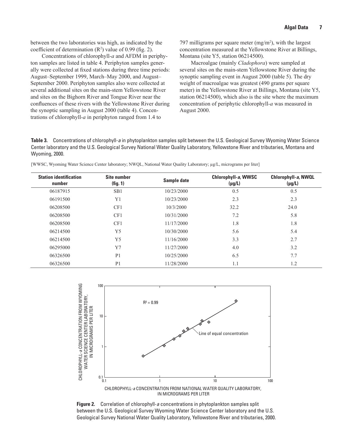<span id="page-12-0"></span>between the two laboratories was high, as indicated by the coefficient of determination  $(R^2)$  value of 0.99 (fig. 2).

Concentrations of chlorophyll*-a* and AFDM in periphyton samples are listed in table 4. Periphyton samples generally were collected at fixed stations during three time periods: August–September 1999, March–May 2000, and August– September 2000. Periphyton samples also were collected at several additional sites on the main-stem Yellowstone River and sites on the Bighorn River and Tongue River near the confluences of these rivers with the Yellowstone River during the synoptic sampling in August 2000 (table 4). Concentrations of chlorophyll*-a* in periphyton ranged from 1.4 to

797 milligrams per square meter  $(mg/m<sup>2</sup>)$ , with the largest concentration measured at the Yellowstone River at Billings, Montana (site Y5, station 06214500).

Macroalgae (mainly *Cladophora*) were sampled at several sites on the main-stem Yellowstone River during the synoptic sampling event in August 2000 (table 5). The dry weight of macroalgae was greatest (490 grams per square meter) in the Yellowstone River at Billings, Montana (site Y5, station 06214500), which also is the site where the maximum concentration of periphytic chlorophyll*-a* was measured in August 2000.

**Table 3.** Concentrations of chlorophyll-*a* in phytoplankton samples split between the U.S. Geological Survey Wyoming Water Science Center laboratory and the U.S. Geological Survey National Water Quality Laboratory, Yellowstone River and tributaries, Montana and Wyoming, 2000.

| <b>Station identification</b><br>number | <b>Site number</b><br>(fig. 1) | Sample date | Chlorophyll-a, WWSC<br>$(\mu g/L)$ | Chlorophyll-a, NWQL<br>$(\mu g/L)$ |
|-----------------------------------------|--------------------------------|-------------|------------------------------------|------------------------------------|
| 06187915                                | SB1                            | 10/23/2000  | 0.5                                | 0.5                                |
| 06191500                                | Y <sub>1</sub>                 | 10/23/2000  | 2.3                                | 2.3                                |
| 06208500                                | CF1                            | 10/3/2000   | 32.2                               | 24.0                               |
| 06208500                                | CF1                            | 10/31/2000  | 7.2                                | 5.8                                |
| 06208500                                | CF1                            | 11/17/2000  | 1.8                                | 1.8                                |
| 06214500                                | Y <sub>5</sub>                 | 10/30/2000  | 5.6                                | 5.4                                |
| 06214500                                | Y <sub>5</sub>                 | 11/16/2000  | 3.3                                | 2.7                                |
| 06295000                                | Y7                             | 11/27/2000  | 4.0                                | 3.2                                |
| 06326500                                | P <sub>1</sub>                 | 10/25/2000  | 6.5                                | 7.7                                |
| 06326500                                | P <sub>1</sub>                 | 11/28/2000  | 1.1                                | 1.2                                |
|                                         |                                |             |                                    |                                    |

[WWSC, Wyoming Water Science Center laboratory; NWQL, National Water Quality Laboratory; µg/L, micrograms per liter]



**Figure 2.** Correlation of chlorophyll-*a* concentrations in phytoplankton samples split between the U.S. Geological Survey Wyoming Water Science Center laboratory and the U.S. Geological Survey National Water Quality Laboratory, Yellowstone River and tributaries, 2000.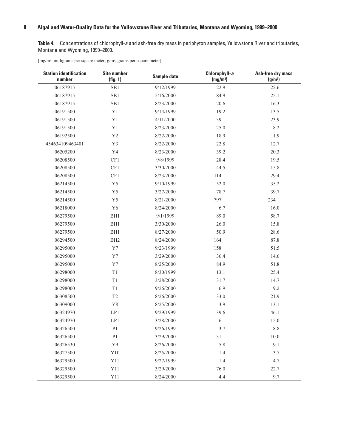<span id="page-13-0"></span>**Table 4.** Concentrations of chlorophyll-*a* and ash-free dry mass in periphyton samples, Yellowstone River and tributaries, Montana and Wyoming, 1999–2000.

[mg/m<sup>2</sup>; milligrams per square meter; g/m<sup>2</sup>, grams per square meter]

| <b>Station identification</b><br>number | <b>Site number</b><br>(fig. 1) | Sample date | Chlorophyll-a<br>(mg/m <sup>2</sup> ) | Ash-free dry mass<br>(g/m <sup>2</sup> ) |
|-----------------------------------------|--------------------------------|-------------|---------------------------------------|------------------------------------------|
| 06187915                                | SB1                            | 9/12/1999   | 22.9                                  | 22.6                                     |
| 06187915                                | SB1                            | 5/16/2000   | 84.9                                  | 25.1                                     |
| 06187915                                | SB1                            | 8/23/2000   | 20.6                                  | 16.3                                     |
| 06191500                                | Y1                             | 9/14/1999   | 19.2                                  | 13.5                                     |
| 06191500                                | Y1                             | 4/11/2000   | 139                                   | 23.9                                     |
| 06191500                                | Y1                             | 8/23/2000   | 25.0                                  | 8.2                                      |
| 06192500                                | Y2                             | 8/22/2000   | 18.9                                  | 11.9                                     |
| 454634109463401                         | Y3                             | 8/22/2000   | 22.8                                  | 12.7                                     |
| 06205200                                | Y4                             | 8/23/2000   | 39.2                                  | 20.3                                     |
| 06208500                                | CF1                            | 9/8/1999    | 28.4                                  | 19.5                                     |
| 06208500                                | CF1                            | 3/30/2000   | 44.5                                  | 15.8                                     |
| 06208500                                | CF1                            | 8/23/2000   | 114                                   | 29.4                                     |
| 06214500                                | Y5                             | 9/10/1999   | 52.0                                  | 35.2                                     |
| 06214500                                | Y5                             | 3/27/2000   | 78.7                                  | 39.7                                     |
| 06214500                                | Y <sub>5</sub>                 | 8/21/2000   | 797                                   | 234                                      |
| 06218000                                | Y <sub>6</sub>                 | 8/24/2000   | 6.7                                   | 16.0                                     |
| 06279500                                | BH1                            | 9/1/1999    | 89.0                                  | 58.7                                     |
| 06279500                                | BH1                            | 3/30/2000   | 26.0                                  | 15.8                                     |
| 06279500                                | BH1                            | 8/27/2000   | 50.9                                  | 28.6                                     |
| 06294500                                | BH <sub>2</sub>                | 8/24/2000   | 164                                   | 87.8                                     |
| 06295000                                | Y7                             | 9/23/1999   | 158                                   | 51.5                                     |
| 06295000                                | $\rm Y7$                       | 3/29/2000   | 36.4                                  | 14.6                                     |
| 06295000                                | Y7                             | 8/25/2000   | 84.9                                  | 51.8                                     |
| 06298000                                | $\mathrm{T}1$                  | 8/30/1999   | 13.1                                  | 25.4                                     |
| 06298000                                | T1                             | 3/28/2000   | 31.7                                  | 14.7                                     |
| 06298000                                | $\mathrm{T}1$                  | 9/26/2000   | 6.9                                   | 9.2                                      |
| 06308500                                | $\mathsf{T}2$                  | 8/26/2000   | 33.0                                  | 21.9                                     |
| 06309000                                | Y8                             | 8/25/2000   | 3.9                                   | 13.1                                     |
| 06324970                                | LP1                            | 9/29/1999   | 39.6                                  | 46.1                                     |
| 06324970                                | LP1                            | 3/28/2000   | 6.1                                   | 15.0                                     |
| 06326500                                | P <sub>1</sub>                 | 9/26/1999   | 3.7                                   | 8.8                                      |
| 06326500                                | P <sub>1</sub>                 | 3/29/2000   | 31.1                                  | 10.0                                     |
| 06326530                                | Y9                             | 8/26/2000   | 5.8                                   | 9.1                                      |
| 06327500                                | Y10                            | 8/25/2000   | 1.4                                   | 3.7                                      |
| 06329500                                | Y11                            | 9/27/1999   | 1.4                                   | 4.7                                      |
| 06329500                                | Y11                            | 3/29/2000   | 76.0                                  | 22.7                                     |
| 06329500                                | Y11                            | 8/24/2000   | 4.4                                   | 9.7                                      |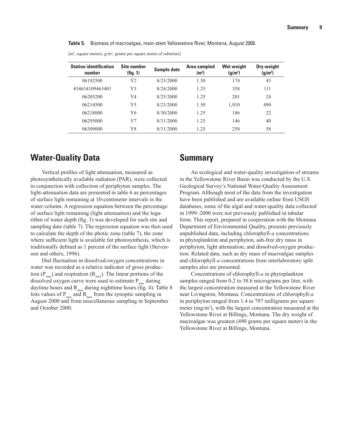<span id="page-14-0"></span>**Table 5.** Biomass of macroalgae, main-stem Yellowstone River, Montana, August 2000.

[m<sup>2</sup>, square meters;  $g/m^2$ , grams per square meter of substrate]

| <b>Station identification</b><br>number | Site number<br>(fig. 1) | Sample date | Area sampled<br>(m <sup>2</sup> ) | <b>Wet weight</b><br>(q/m <sup>2</sup> ) | Dry weight<br>(g/m <sup>2</sup> ) |
|-----------------------------------------|-------------------------|-------------|-----------------------------------|------------------------------------------|-----------------------------------|
| 06192500                                | Y2                      | 8/25/2000   | 1.50                              | 174                                      | 43                                |
| 454634109463401                         | Y3                      | 8/24/2000   | 1.25                              | 358                                      | 111                               |
| 06205200                                | Y4                      | 8/25/2000   | 1.25                              | 201                                      | 24                                |
| 06214500                                | Y5                      | 8/23/2000   | 1.50                              | 1,910                                    | 490                               |
| 06218000                                | Y6                      | 8/30/2000   | 1.25                              | 186                                      | 22                                |
| 06295000                                | Y7                      | 8/31/2000   | 1.25                              | 146                                      | 40                                |
| 06309000                                | Y8                      | 8/31/2000   | 1.25                              | 258                                      | 58                                |

## **Water-Quality Data**

Vertical profiles of light attenuation, measured as photosynthetically available radiation (PAR), were collected in conjunction with collection of periphyton samples. The light-attenuation data are presented in table 6 as percentages of surface light remaining at 10-centimeter intervals in the water column. A regression equation between the percentage of surface light remaining (light attenuation) and the logarithm of water depth (fig. 3) was developed for each site and sampling date (table 7). The regression equation was then used to calculate the depth of the photic zone (table 7), the zone where sufficient light is available for photosynthesis, which is traditionally defined as 1 percent of the surface light (Stevenson and others, 1996).

Diel fluctuation in dissolved-oxygen concentrations in water was recorded as a relative indicator of gross production ( $P_{\text{max}}$ ) and respiration ( $R_{\text{max}}$ ). The linear portions of the dissolved oxygen curve were used to estimate  $P_{\text{max}}$  during daytime hours and  $R_{max}$  during nighttime hours (fig. 4). Table 8 lists values of  $P_{max}$  and  $R_{max}$  from the synoptic sampling in August 2000 and from miscellaneous sampling in September and October 2000.

### **Summary**

An ecological and water-quality investigation of streams in the Yellowstone River Basin was conducted by the U.S. Geological Survey's National Water-Quality Assessment Program. Although most of the data from the investigation have been published and are available online from USGS databases, some of the algal and water-quality data collected in 1999–2000 were not previously published in tabular form. This report, prepared in cooperation with the Montana Department of Environmental Quality, presents previously unpublished data, including chlorophyll*-a* concentrations in phytoplankton and periphyton, ash-free dry mass in periphyton, light attenuation, and dissolved-oxygen production. Related data, such as dry mass of macroalgae samples and chlorophyll*-a* concentrations from interlaboratory split samples also are presented.

Concentrations of chlorophyll*-a* in phytoplankton samples ranged from 0.2 to 38.6 micrograms per liter, with the largest concentration measured at the Yellowstone River near Livingston, Montana. Concentrations of chlorophyll*-a* in periphyton ranged from 1.4 to 797 milligrams per square meter  $(mg/m<sup>2</sup>)$ , with the largest concentration measured at the Yellowstone River at Billings, Montana. The dry weight of macroalgae was greatest (490 grams per square meter) in the Yellowstone River at Billings, Montana.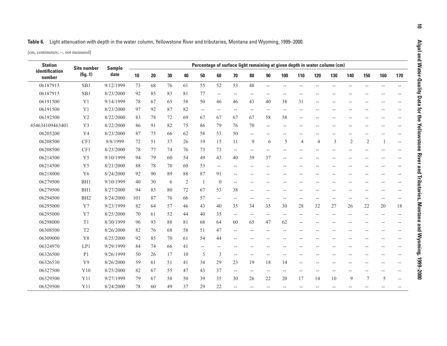<span id="page-15-0"></span>

| Table 6. Light attenuation with depth in the water column, Yellowstone River and tributaries, Montana and Wyoming, 1999–2000. |
|-------------------------------------------------------------------------------------------------------------------------------|
|                                                                                                                               |

[cm, centimeters; --, not measured]

| <b>Station</b>           | <b>Site number</b> | <b>Sample</b> | Percentage of surface light remaining at given depth in water column (cm) |    |    |    |                          |                |                          |                                                     |                          |                          |                |                |        |                |                          |      |                          |
|--------------------------|--------------------|---------------|---------------------------------------------------------------------------|----|----|----|--------------------------|----------------|--------------------------|-----------------------------------------------------|--------------------------|--------------------------|----------------|----------------|--------|----------------|--------------------------|------|--------------------------|
| identification<br>number | (fig. 1)           | date          | 10                                                                        | 20 | 30 | 40 | 50                       | 60             | 70                       | 80                                                  | 90                       | 100                      | 110            | 120            | 130    | 140            | 150                      | 160  | 170                      |
| 06187915                 | SB1                | 9/12/1999     | 73                                                                        | 68 | 76 | 61 | 55                       | 52             | 53                       | 48                                                  | $\overline{\phantom{a}}$ | $\qquad \qquad -$        | $-$            |                | $-$    | $\overline{a}$ | $\overline{\phantom{m}}$ | $-$  |                          |
| 06187915                 | SB1                | 8/23/2000     | 92                                                                        | 85 | 83 | 81 | 77                       | $-$            | $-\, -$                  | $\hspace{0.05cm}$ – $\hspace{0.05cm}$               | $-\,-$                   | --                       | --             |                |        |                |                          |      |                          |
| 06191500                 | Y1                 | 9/14/1999     | 78                                                                        | 67 | 65 | 58 | 50                       | 46             | 46                       | 43                                                  | 40                       | 38                       | 31             |                |        |                |                          |      |                          |
| 06191500                 | Y1                 | 8/23/2000     | 97                                                                        | 92 | 87 | 82 | $\overline{\phantom{a}}$ | $-$            | $\overline{\phantom{a}}$ | $\hspace{0.05cm} -\hspace{0.05cm} -\hspace{0.05cm}$ | $-\,-$                   | --                       | $\overline{a}$ |                |        |                |                          |      |                          |
| 06192500                 | Y2                 | 8/22/2000     | 83                                                                        | 78 | 72 | 69 | 67                       | 67             | 67                       | 67                                                  | 58                       | 58                       | --             |                |        |                |                          |      |                          |
| 454634109463401          | Y3                 | 8/22/2000     | 86                                                                        | 91 | 82 | 75 | 86                       | 79             | 76                       | 70                                                  | $\overline{a}$           | $-$                      | --             |                | $-$    |                |                          |      |                          |
| 06205200                 | Y4                 | 8/23/2000     | 87                                                                        | 75 | 66 | 62 | 58                       | 53             | 50                       | $-$                                                 |                          | $-$                      |                |                |        |                |                          |      |                          |
| 06208500                 | CF1                | 9/8/1999      | 72                                                                        | 51 | 37 | 26 | 19                       | 15             | 11                       | 9                                                   | 6                        | 5                        | 4              | $\overline{4}$ | 3      | $\overline{2}$ | $\mathfrak{2}$           |      | $\overline{\phantom{a}}$ |
| 06208500                 | CF1                | 8/23/2000     | 78                                                                        | 77 | 74 | 76 | 73                       | 73             | $\overline{\phantom{a}}$ | $\overline{\phantom{m}}$                            | $-$                      | $-$                      | $-$            |                | $-$    |                |                          |      |                          |
| 06214500                 | Y5                 | 9/10/1999     | 94                                                                        | 79 | 60 | 54 | 49                       | 43             | 40                       | 39                                                  | 37                       | $-$                      |                |                |        |                |                          |      |                          |
| 06214500                 | Y5                 | 8/21/2000     | 88                                                                        | 78 | 70 | 60 | 53                       | $-$            | $\overline{\phantom{a}}$ | $-$                                                 |                          | $-$                      | --             |                | $-$    |                | --                       |      |                          |
| 06218000                 | Y <sub>6</sub>     | 8/24/2000     | 92                                                                        | 90 | 89 | 88 | 87                       | 91             |                          | $\sim$                                              |                          |                          |                |                |        |                |                          |      |                          |
| 06279500                 | BH1                | 9/10/1999     | 40                                                                        | 30 | 6  | 2  | -1                       | $\overline{0}$ |                          | $-$                                                 |                          | --                       |                |                |        |                |                          |      |                          |
| 06279500                 | BH1                | 8/27/2000     | 94                                                                        | 83 | 80 | 72 | 67                       | 53             | 38                       | $-$                                                 | $-$                      | $-$                      | $-$            |                | $-$    | $-$            | $-$                      | $-1$ |                          |
| 06294500                 | BH <sub>2</sub>    | 8/24/2000     | 101                                                                       | 87 | 76 | 66 | 57                       | $-$            | $\overline{a}$           | $-$                                                 |                          | $-$                      | $-$            |                | $-$    |                | $-1$                     | $-$  |                          |
| 06295000                 | Y7                 | 9/23/1999     | 82                                                                        | 64 | 57 | 46 | 43                       | 40             | 35                       | 34                                                  | 35                       | 30                       | 28             | 32             | 27     | 26             | 22                       | 20   | $18\,$                   |
| 06295000                 | Y7                 | 8/25/2000     | 70                                                                        | 61 | 52 | 44 | 40                       | 35             | $\overline{a}$           | $\overline{\phantom{a}}$                            | $\overline{a}$           | $\overline{\phantom{a}}$ | $\overline{a}$ | $-$            | $-$    | $-$            | $-$                      |      |                          |
| 06298000                 | T <sub>1</sub>     | 8/30/1999     | 96                                                                        | 93 | 88 | 81 | 68                       | 64             | 60                       | 65                                                  | 47                       | 62                       | $-$            |                | $-$    |                |                          |      |                          |
| 06308500                 | T <sub>2</sub>     | 8/26/2000     | 82                                                                        | 76 | 68 | 58 | 51                       | 47             | $\overline{\phantom{a}}$ | $-$                                                 | $-$                      | $-$                      | --             |                |        |                |                          |      |                          |
| 06309000                 | Y8                 | 8/25/2000     | 92                                                                        | 85 | 70 | 61 | 54                       | 44             |                          |                                                     |                          |                          |                |                |        |                |                          |      |                          |
| 06324970                 | LP1                | 9/29/1999     | 84                                                                        | 74 | 66 | 41 | $- -$                    | $-$            |                          |                                                     |                          |                          |                |                |        |                |                          |      |                          |
| 06326500                 | P <sub>1</sub>     | 9/26/1999     | 50                                                                        | 26 | 17 | 10 | 5                        | 3              | $\overline{\phantom{a}}$ | $-$                                                 |                          |                          |                |                |        |                |                          |      |                          |
| 06326530                 | Y9                 | 8/26/2000     | 59                                                                        | 61 | 51 | 41 | 34                       | 29             | 23                       | 19                                                  | 18                       | 14                       | $\overline{a}$ |                |        |                |                          |      |                          |
| 06327500                 | Y10                | 8/25/2000     | 82                                                                        | 67 | 55 | 47 | 43                       | 37             | $\overline{\phantom{m}}$ | $\hspace{0.05cm} -\hspace{0.05cm} -\hspace{0.05cm}$ | $-\,-$                   | $-\, -$                  | --             |                | $-$    |                |                          |      |                          |
| 06329500                 | Y11                | 9/27/1999     | 79                                                                        | 67 | 58 | 50 | 39                       | 35             | 30                       | 26                                                  | 22                       | 20                       | 17             | 14             | 10     | 9              | 7                        | 5    | $-$                      |
| 06329500                 | Y11                | 8/24/2000     | 78                                                                        | 60 | 49 | 37 | 29                       | 22             | $-$                      | $\hspace{0.05cm}$ – $\hspace{0.05cm}$               | $-$                      | --                       | --             |                | $-\,-$ |                |                          |      |                          |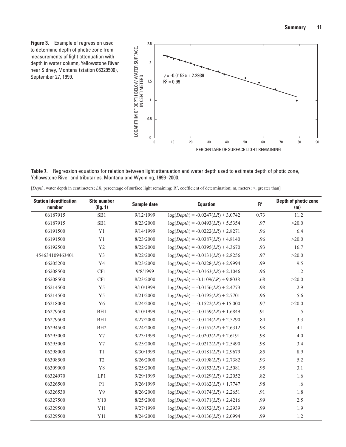

<span id="page-16-0"></span>

**Table 7.** Regression equations for relation between light attenuation and water depth used to estimate depth of photic zone, Yellowstone River and tributaries, Montana and Wyoming, 1999–2000.

[*Depth*, water depth in centimeters; *LR*, percentage of surface light remaining; R<sup>2</sup>, coefficient of determination; m, meters; >, greater than]

| <b>Station identification</b><br>number | <b>Site number</b><br>(fig. 1) | Sample date | <b>Equation</b>                     | R <sup>2</sup> | Depth of photic zone<br>(m) |
|-----------------------------------------|--------------------------------|-------------|-------------------------------------|----------------|-----------------------------|
| 06187915                                | SB1                            | 9/12/1999   | $log(Depth) = -0.0247(LR) + 3.0742$ | 0.73           | 11.2                        |
| 06187915                                | SB1                            | 8/23/2000   | $log(Depth) = -0.0493(LR) + 5.5354$ | .97            | >20.0                       |
| 06191500                                | Y1                             | 9/14/1999   | $log(Depth) = -0.0222(LR) + 2.8271$ | .96            | 6.4                         |
| 06191500                                | Y1                             | 8/23/2000   | $log(Depth) = -0.0387(LR) + 4.8140$ | .96            | >20.0                       |
| 06192500                                | Y <sub>2</sub>                 | 8/22/2000   | $log(Depth) = -0.0395(LR) + 4.3670$ | .93            | 16.7                        |
| 454634109463401                         | Y3                             | 8/22/2000   | $log(Depth) = -0.0131(LR) + 2.8256$ | .97            | >20.0                       |
| 06205200                                | Y <sub>4</sub>                 | 8/23/2000   | $log(Depth) = -0.0228(LR) + 2.9994$ | .99            | 9.5                         |
| 06208500                                | CF1                            | 9/8/1999    | $log(Depth) = -0.0163(LR) + 2.1046$ | .96            | 1.2                         |
| 06208500                                | CF1                            | 8/23/2000   | $log(Depth) = -0.1109(LR) + 9.8038$ | .68            | >20.0                       |
| 06214500                                | Y5                             | 9/10/1999   | $log(Depth) = -0.0156(LR) + 2.4773$ | .98            | 2.9                         |
| 06214500                                | Y5                             | 8/21/2000   | $log(Depth) = -0.0195(LR) + 2.7701$ | .96            | 5.6                         |
| 06218000                                | Y <sub>6</sub>                 | 8/24/2000   | $log(Depth) = -0.1522(LR) + 15.000$ | .97            | >20.0                       |
| 06279500                                | BH1                            | 9/10/1999   | $log(Depth) = -0.0159(LR) + 1.6849$ | .91            | $.5\,$                      |
| 06279500                                | BH1                            | 8/27/2000   | $log(Depth) = -0.0144(LR) + 2.5290$ | .84            | 3.3                         |
| 06294500                                | BH <sub>2</sub>                | 8/24/2000   | $log(Depth) = -0.0157(LR) + 2.6312$ | .98            | 4.1                         |
| 06295000                                | Y7                             | 9/23/1999   | $log(Depth) = -0.0203(LR) + 2.6191$ | .98            | 4.0                         |
| 06295000                                | Y7                             | 8/25/2000   | $log(Depth) = -0.0212(LR) + 2.5490$ | .98            | 3.4                         |
| 06298000                                | $\rm T1$                       | 8/30/1999   | $log(Depth) = -0.0181(LR) + 2.9679$ | .85            | 8.9                         |
| 06308500                                | T <sub>2</sub>                 | 8/26/2000   | $log(Depth) = -0.0198(LR) + 2.7382$ | .93            | 5.2                         |
| 06309000                                | Y8                             | 8/25/2000   | $log(Depth) = -0.0153(LR) + 2.5081$ | .95            | 3.1                         |
| 06324970                                | LP1                            | 9/29/1999   | $log(Depth) = -0.0129(LR) + 2.2052$ | .82            | 1.6                         |
| 06326500                                | P1                             | 9/26/1999   | $log(Depth) = -0.0162(LR) + 1.7747$ | .98            | .6                          |
| 06326530                                | Y9                             | 8/26/2000   | $log(Depth) = -0.0174(LR) + 2.2651$ | .91            | 1.8                         |
| 06327500                                | ${\rm Y10}$                    | 8/25/2000   | $log(Depth) = -0.0171(LR) + 2.4216$ | .99            | 2.5                         |
| 06329500                                | Y11                            | 9/27/1999   | $log(Depth) = -0.0152(LR) + 2.2939$ | .99            | 1.9                         |
| 06329500                                | Y11                            | 8/24/2000   | $log(Depth) = -0.0136(LR) + 2.0994$ | .99            | 1.2                         |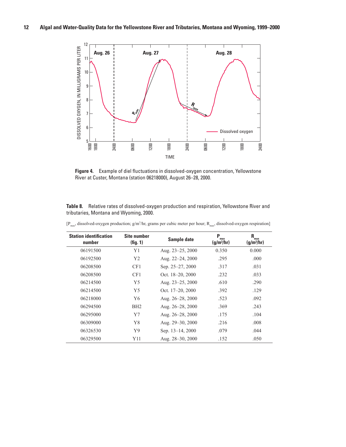<span id="page-17-0"></span>

**Figure 4.** Example of diel fluctuations in dissolved-oxygen concentration, Yellowstone River at Custer, Montana (station 06218000), August 26–28, 2000.

**Table 8.** Relative rates of dissolved-oxygen production and respiration, Yellowstone River and tributaries, Montana and Wyoming, 2000.

| <b>Site number</b> |                  |                          |                                      |
|--------------------|------------------|--------------------------|--------------------------------------|
| (fig. 1)           | Sample date      | P<br>max<br>$(g/m^3/hr)$ | $R_{\max}$<br>(g/m <sup>3</sup> /hr) |
| Y1                 | Aug. 23–25, 2000 | 0.350                    | 0.000                                |
| Y2                 | Aug. 22-24, 2000 | .295                     | .000                                 |
| CF1                | Sep. 25–27, 2000 | .317                     | .031                                 |
| CF1                | Oct. 18-20, 2000 | .232                     | .033                                 |
| Y5                 | Aug. 23-25, 2000 | .610                     | .290                                 |
| Y5                 | Oct. 17-20, 2000 | .392                     | .129                                 |
| Y6                 | Aug. 26-28, 2000 | .523                     | .092                                 |
| BH <sub>2</sub>    | Aug. 26-28, 2000 | .369                     | .243                                 |
| Y7                 | Aug. 26–28, 2000 | .175                     | .104                                 |
| Y8                 | Aug. 29–30, 2000 | .216                     | .008                                 |
| Y9                 | Sep. 13–14, 2000 | .079                     | .044                                 |
| Y11                | Aug. 28-30, 2000 | .152                     | .050                                 |
|                    |                  |                          |                                      |

 $[P_{max}$ , dissolved-oxygen production; g/m<sup>3</sup>/hr, grams per cubic meter per hour;  $R_{max}$ , dissolved-oxygen respiration]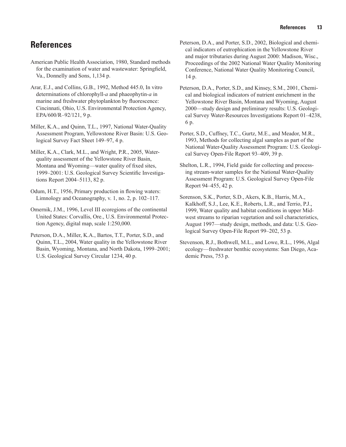## <span id="page-18-0"></span>**References**

- American Public Health Association, 1980, Standard methods for the examination of water and wastewater: Springfield, Va., Donnelly and Sons, 1,134 p.
- Arar, E.J., and Collins, G.B., 1992, Method 445.0, In vitro determinations of chlorophyll*-a* and phaeophytin*-a* in marine and freshwater phytoplankton by fluorescence: Cincinnati, Ohio, U.S. Environmental Protection Agency, EPA/600/R–92/121, 9 p.
- Miller, K.A., and Quinn, T.L., 1997, National Water-Quality Assessment Program, Yellowstone River Basin: U.S. Geological Survey Fact Sheet 149–97, 4 p.
- Miller, K.A., Clark, M.L., and Wright, P.R., 2005, Waterquality assessment of the Yellowstone River Basin, Montana and Wyoming—water quality of fixed sites, 1999–2001: U.S. Geological Survey Scientific Investigations Report 2004–5113, 82 p.
- Odum, H.T., 1956, Primary production in flowing waters: Limnology and Oceanography, v. 1, no. 2, p. 102–117.
- Omernik, J.M., 1996, Level III ecoregions of the continental United States: Corvallis, Ore., U.S. Environmental Protection Agency, digital map, scale 1:250,000.
- Peterson, D.A., Miller, K.A., Bartos, T.T., Porter, S.D., and Quinn, T.L., 2004, Water quality in the Yellowstone River Basin, Wyoming, Montana, and North Dakota, 1999–2001; U.S. Geological Survey Circular 1234, 40 p.
- Peterson, D.A., and Porter, S.D., 2002, Biological and chemical indicators of eutrophication in the Yellowstone River and major tributaries during August 2000: Madison, Wisc., Proceedings of the 2002 National Water Quality Monitoring Conference, National Water Quality Monitoring Council, 14 p.
- Peterson, D.A., Porter, S.D., and Kinsey, S.M., 2001, Chemical and biological indicators of nutrient enrichment in the Yellowstone River Basin, Montana and Wyoming, August 2000—study design and preliminary results: U.S. Geological Survey Water-Resources Investigations Report 01–4238, 6 p.
- Porter, S.D., Cuffney, T.C., Gurtz, M.E., and Meador, M.R., 1993, Methods for collecting algal samples as part of the National Water-Quality Assessment Program: U.S. Geological Survey Open-File Report 93–409, 39 p.
- Shelton, L.R., 1994, Field guide for collecting and processing stream-water samples for the National Water-Quality Assessment Program: U.S. Geological Survey Open-File Report 94–455, 42 p.
- Sorenson, S.K., Porter, S.D., Akers, K.B., Harris, M.A., Kalkhoff, S.J., Lee, K.E., Roberts, L.R., and Terrio, P.J., 1999, Water quality and habitat conditions in upper Midwest streams to riparian vegetation and soil characteristics, August 1997—study design, methods, and data: U.S. Geological Survey Open-File Report 99–202, 53 p.
- Stevenson, R.J., Bothwell, M.L., and Lowe, R.L., 1996, Algal ecology—freshwater benthic ecosystems: San Diego, Academic Press, 753 p.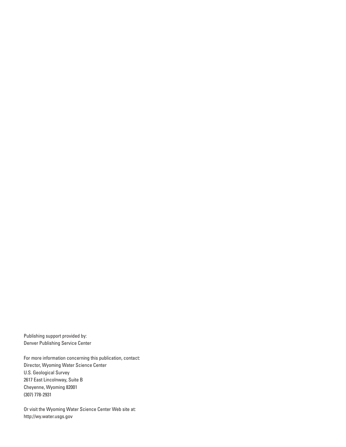Publishing support provided by: Denver Publishing Service Center

For more information concerning this publication, contact: Director, Wyoming Water Science Center U.S. Geological Survey 2617 East Lincolnway, Suite B Cheyenne, Wyoming 82001 (307) 778-2931

Or visit the Wyoming Water Science Center Web site at: <http://wy.water.usgs.gov>